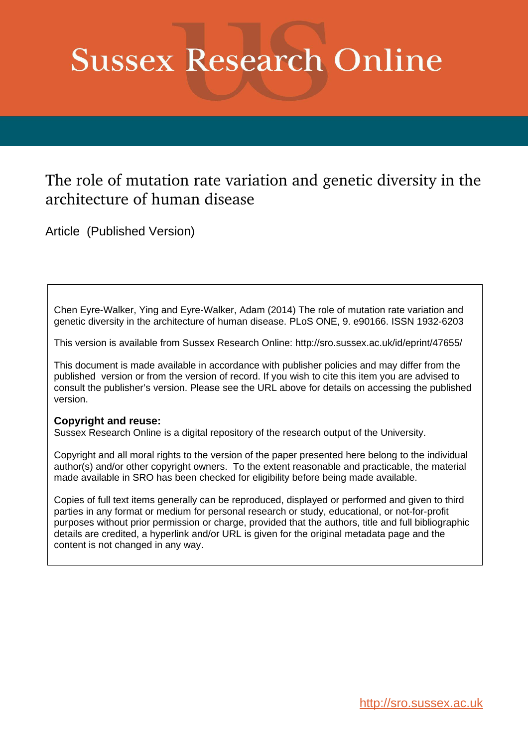# **Sussex Research Online**

## The role of mutation rate variation and genetic diversity in the architecture of human disease

Article (Published Version)

Chen Eyre-Walker, Ying and Eyre-Walker, Adam (2014) The role of mutation rate variation and genetic diversity in the architecture of human disease. PLoS ONE, 9. e90166. ISSN 1932-6203

This version is available from Sussex Research Online: http://sro.sussex.ac.uk/id/eprint/47655/

This document is made available in accordance with publisher policies and may differ from the published version or from the version of record. If you wish to cite this item you are advised to consult the publisher's version. Please see the URL above for details on accessing the published version.

### **Copyright and reuse:**

Sussex Research Online is a digital repository of the research output of the University.

Copyright and all moral rights to the version of the paper presented here belong to the individual author(s) and/or other copyright owners. To the extent reasonable and practicable, the material made available in SRO has been checked for eligibility before being made available.

Copies of full text items generally can be reproduced, displayed or performed and given to third parties in any format or medium for personal research or study, educational, or not-for-profit purposes without prior permission or charge, provided that the authors, title and full bibliographic details are credited, a hyperlink and/or URL is given for the original metadata page and the content is not changed in any way.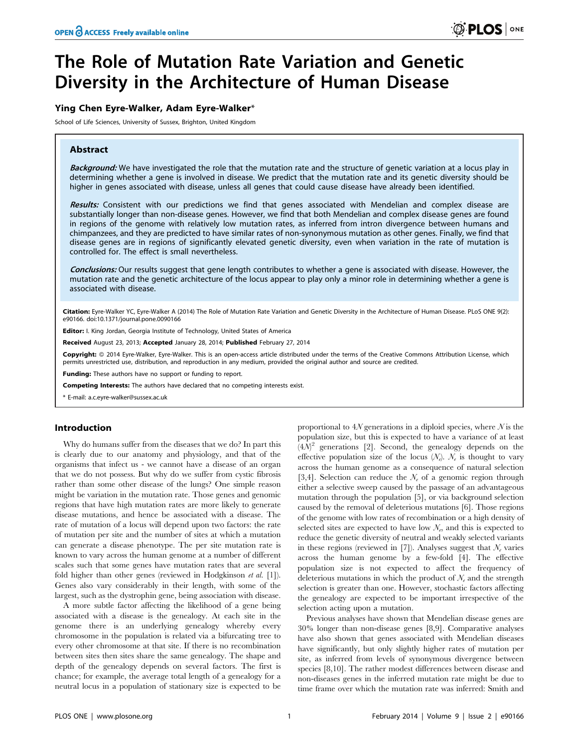## The Role of Mutation Rate Variation and Genetic Diversity in the Architecture of Human Disease

#### Ying Chen Eyre-Walker, Adam Eyre-Walker\*

School of Life Sciences, University of Sussex, Brighton, United Kingdom

#### Abstract

Background: We have investigated the role that the mutation rate and the structure of genetic variation at a locus play in determining whether a gene is involved in disease. We predict that the mutation rate and its genetic diversity should be higher in genes associated with disease, unless all genes that could cause disease have already been identified.

Results: Consistent with our predictions we find that genes associated with Mendelian and complex disease are substantially longer than non-disease genes. However, we find that both Mendelian and complex disease genes are found in regions of the genome with relatively low mutation rates, as inferred from intron divergence between humans and chimpanzees, and they are predicted to have similar rates of non-synonymous mutation as other genes. Finally, we find that disease genes are in regions of significantly elevated genetic diversity, even when variation in the rate of mutation is controlled for. The effect is small nevertheless.

Conclusions: Our results suggest that gene length contributes to whether a gene is associated with disease. However, the mutation rate and the genetic architecture of the locus appear to play only a minor role in determining whether a gene is associated with disease.

Citation: Eyre-Walker YC, Eyre-Walker A (2014) The Role of Mutation Rate Variation and Genetic Diversity in the Architecture of Human Disease. PLoS ONE 9(2): e90166. doi:10.1371/journal.pone.0090166

Editor: I. King Jordan, Georgia Institute of Technology, United States of America

Received August 23, 2013; Accepted January 28, 2014; Published February 27, 2014

Copyright: © 2014 Eyre-Walker, Eyre-Walker. This is an open-access article distributed under the terms of the [Creative Commons Attribution License](http://creativecommons.org/licenses/by/4.0/), which permits unrestricted use, distribution, and reproduction in any medium, provided the original author and source are credited.

Funding: These authors have no support or funding to report.

Competing Interests: The authors have declared that no competing interests exist.

\* E-mail: a.c.eyre-walker@sussex.ac.uk

#### Introduction

Why do humans suffer from the diseases that we do? In part this is clearly due to our anatomy and physiology, and that of the organisms that infect us - we cannot have a disease of an organ that we do not possess. But why do we suffer from cystic fibrosis rather than some other disease of the lungs? One simple reason might be variation in the mutation rate. Those genes and genomic regions that have high mutation rates are more likely to generate disease mutations, and hence be associated with a disease. The rate of mutation of a locus will depend upon two factors: the rate of mutation per site and the number of sites at which a mutation can generate a disease phenotype. The per site mutation rate is known to vary across the human genome at a number of different scales such that some genes have mutation rates that are several fold higher than other genes (reviewed in Hodgkinson et al. [1]). Genes also vary considerably in their length, with some of the largest, such as the dystrophin gene, being association with disease.

A more subtle factor affecting the likelihood of a gene being associated with a disease is the genealogy. At each site in the genome there is an underlying genealogy whereby every chromosome in the population is related via a bifurcating tree to every other chromosome at that site. If there is no recombination between sites then sites share the same genealogy. The shape and depth of the genealogy depends on several factors. The first is chance; for example, the average total length of a genealogy for a neutral locus in a population of stationary size is expected to be

proportional to  $4N$  generations in a diploid species, where  $N$  is the population size, but this is expected to have a variance of at least  $(4\mathcal{N})^2$  generations [2]. Second, the genealogy depends on the effective population size of the locus  $(N_e)$ .  $N_e$  is thought to vary across the human genome as a consequence of natural selection [3,4]. Selection can reduce the  $\mathcal{N}_e$  of a genomic region through either a selective sweep caused by the passage of an advantageous mutation through the population [5], or via background selection caused by the removal of deleterious mutations [6]. Those regions of the genome with low rates of recombination or a high density of selected sites are expected to have low  $\mathcal{N}_e$ , and this is expected to reduce the genetic diversity of neutral and weakly selected variants in these regions (reviewed in [7]). Analyses suggest that  $\mathcal{N}_e$  varies across the human genome by a few-fold [4]. The effective population size is not expected to affect the frequency of deleterious mutations in which the product of  $\mathcal{N}_e$  and the strength selection is greater than one. However, stochastic factors affecting the genealogy are expected to be important irrespective of the selection acting upon a mutation.

Previous analyses have shown that Mendelian disease genes are 30% longer than non-disease genes [8,9]. Comparative analyses have also shown that genes associated with Mendelian diseases have significantly, but only slightly higher rates of mutation per site, as inferred from levels of synonymous divergence between species [8,10]. The rather modest differences between disease and non-diseases genes in the inferred mutation rate might be due to time frame over which the mutation rate was inferred: Smith and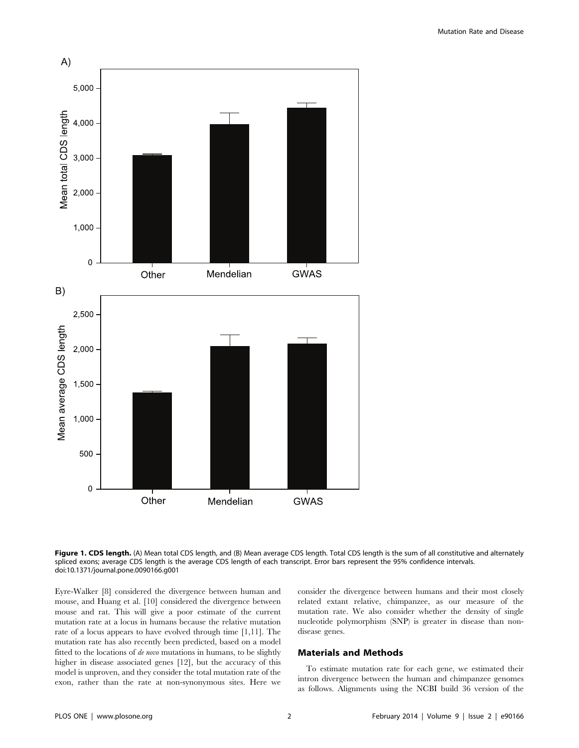

Figure 1. CDS length. (A) Mean total CDS length, and (B) Mean average CDS length. Total CDS length is the sum of all constitutive and alternately spliced exons; average CDS length is the average CDS length of each transcript. Error bars represent the 95% confidence intervals. doi:10.1371/journal.pone.0090166.g001

Eyre-Walker [8] considered the divergence between human and mouse, and Huang et al. [10] considered the divergence between mouse and rat. This will give a poor estimate of the current mutation rate at a locus in humans because the relative mutation rate of a locus appears to have evolved through time [1,11]. The mutation rate has also recently been predicted, based on a model fitted to the locations of de novo mutations in humans, to be slightly higher in disease associated genes [12], but the accuracy of this model is unproven, and they consider the total mutation rate of the exon, rather than the rate at non-synonymous sites. Here we consider the divergence between humans and their most closely related extant relative, chimpanzee, as our measure of the mutation rate. We also consider whether the density of single nucleotide polymorphism (SNP) is greater in disease than nondisease genes.

#### Materials and Methods

To estimate mutation rate for each gene, we estimated their intron divergence between the human and chimpanzee genomes as follows. Alignments using the NCBI build 36 version of the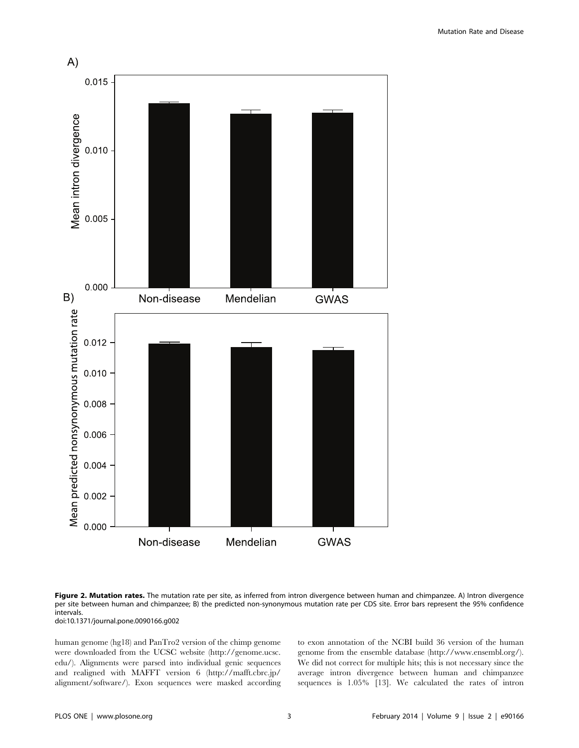

Figure 2. Mutation rates. The mutation rate per site, as inferred from intron divergence between human and chimpanzee. A) Intron divergence per site between human and chimpanzee; B) the predicted non-synonymous mutation rate per CDS site. Error bars represent the 95% confidence intervals.

doi:10.1371/journal.pone.0090166.g002

human genome (hg18) and PanTro2 version of the chimp genome were downloaded from the UCSC website ([http://genome.ucsc.](http://genome.ucsc.edu/) [edu/\)](http://genome.ucsc.edu/). Alignments were parsed into individual genic sequences and realigned with MAFFT version 6 [\(http://mafft.cbrc.jp/](http://mafft.cbrc.jp/alignment/software/) [alignment/software/](http://mafft.cbrc.jp/alignment/software/)). Exon sequences were masked according to exon annotation of the NCBI build 36 version of the human genome from the ensemble database ([http://www.ensembl.org/\)](http://www.ensembl.org/). We did not correct for multiple hits; this is not necessary since the average intron divergence between human and chimpanzee sequences is 1.05% [13]. We calculated the rates of intron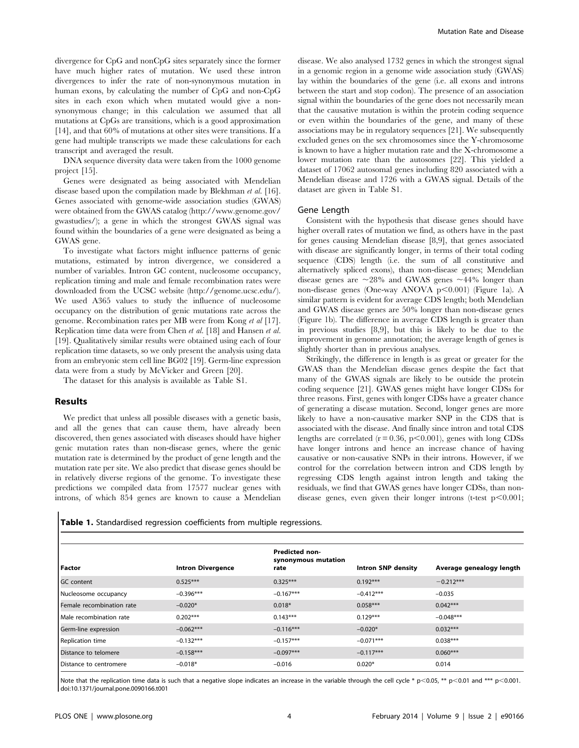divergence for CpG and nonCpG sites separately since the former have much higher rates of mutation. We used these intron divergences to infer the rate of non-synonymous mutation in human exons, by calculating the number of CpG and non-CpG sites in each exon which when mutated would give a nonsynonymous change; in this calculation we assumed that all mutations at CpGs are transitions, which is a good approximation [14], and that 60% of mutations at other sites were transitions. If a gene had multiple transcripts we made these calculations for each transcript and averaged the result.

DNA sequence diversity data were taken from the 1000 genome project [15].

Genes were designated as being associated with Mendelian disease based upon the compilation made by Blekhman et al. [16]. Genes associated with genome-wide association studies (GWAS) were obtained from the GWAS catalog [\(http://www.genome.gov/](http://www.genome.gov/gwastudies/) [gwastudies/](http://www.genome.gov/gwastudies/)); a gene in which the strongest GWAS signal was found within the boundaries of a gene were designated as being a GWAS gene.

To investigate what factors might influence patterns of genic mutations, estimated by intron divergence, we considered a number of variables. Intron GC content, nucleosome occupancy, replication timing and male and female recombination rates were downloaded from the UCSC website [\(http://genome.ucsc.edu/\)](http://genome.ucsc.edu/). We used A365 values to study the influence of nucleosome occupancy on the distribution of genic mutations rate across the genome. Recombination rates per MB were from Kong et al [17]. Replication time data were from Chen et al. [18] and Hansen et al. [19]. Qualitatively similar results were obtained using each of four replication time datasets, so we only present the analysis using data from an embryonic stem cell line BG02 [19]. Germ-line expression data were from a study by McVicker and Green [20].

The dataset for this analysis is available as Table S1.

#### Results

We predict that unless all possible diseases with a genetic basis, and all the genes that can cause them, have already been discovered, then genes associated with diseases should have higher genic mutation rates than non-disease genes, where the genic mutation rate is determined by the product of gene length and the mutation rate per site. We also predict that disease genes should be in relatively diverse regions of the genome. To investigate these predictions we compiled data from 17577 nuclear genes with introns, of which 854 genes are known to cause a Mendelian disease. We also analysed 1732 genes in which the strongest signal in a genomic region in a genome wide association study (GWAS) lay within the boundaries of the gene (i.e. all exons and introns between the start and stop codon). The presence of an association signal within the boundaries of the gene does not necessarily mean that the causative mutation is within the protein coding sequence or even within the boundaries of the gene, and many of these associations may be in regulatory sequences [21]. We subsequently excluded genes on the sex chromosomes since the Y-chromosome is known to have a higher mutation rate and the X-chromosome a lower mutation rate than the autosomes [22]. This yielded a dataset of 17062 autosomal genes including 820 associated with a Mendelian disease and 1726 with a GWAS signal. Details of the dataset are given in Table S1.

#### Gene Length

Consistent with the hypothesis that disease genes should have higher overall rates of mutation we find, as others have in the past for genes causing Mendelian disease [8,9], that genes associated with disease are significantly longer, in terms of their total coding sequence (CDS) length (i.e. the sum of all constitutive and alternatively spliced exons), than non-disease genes; Mendelian disease genes are  $\sim$ 28% and GWAS genes  $\sim$ 44% longer than non-disease genes (One-way ANOVA p<0.001) (Figure 1a). A similar pattern is evident for average CDS length; both Mendelian and GWAS disease genes are 50% longer than non-disease genes (Figure 1b). The difference in average CDS length is greater than in previous studies [8,9], but this is likely to be due to the improvement in genome annotation; the average length of genes is slightly shorter than in previous analyses.

Strikingly, the difference in length is as great or greater for the GWAS than the Mendelian disease genes despite the fact that many of the GWAS signals are likely to be outside the protein coding sequence [21]. GWAS genes might have longer CDSs for three reasons. First, genes with longer CDSs have a greater chance of generating a disease mutation. Second, longer genes are more likely to have a non-causative marker SNP in the CDS that is associated with the disease. And finally since intron and total CDS lengths are correlated  $(r = 0.36, p < 0.001)$ , genes with long CDSs have longer introns and hence an increase chance of having causative or non-causative SNPs in their introns. However, if we control for the correlation between intron and CDS length by regressing CDS length against intron length and taking the residuals, we find that GWAS genes have longer CDSs, than nondisease genes, even given their longer introns (t-test  $p<0.001$ ;

|  |  | <b>Table 1.</b> Standardised regression coefficients from multiple regressions. |  |  |  |  |  |
|--|--|---------------------------------------------------------------------------------|--|--|--|--|--|
|--|--|---------------------------------------------------------------------------------|--|--|--|--|--|

| Factor                    | <b>Intron Divergence</b> | <b>Predicted non-</b><br>synonymous mutation<br>rate | <b>Intron SNP density</b> | Average genealogy length |
|---------------------------|--------------------------|------------------------------------------------------|---------------------------|--------------------------|
| <b>GC</b> content         | $0.525***$               | $0.325***$                                           | $0.192***$                | $-0.212***$              |
| Nucleosome occupancy      | $-0.396***$              | $-0.167***$                                          | $-0.412***$               | $-0.035$                 |
| Female recombination rate | $-0.020*$                | $0.018*$                                             | $0.058***$                | $0.042***$               |
| Male recombination rate   | $0.202***$               | $0.143***$                                           | $0.129***$                | $-0.048***$              |
| Germ-line expression      | $-0.062***$              | $-0.116***$                                          | $-0.020*$                 | $0.032***$               |
| Replication time          | $-0.132***$              | $-0.157***$                                          | $-0.071***$               | $0.038***$               |
| Distance to telomere      | $-0.158***$              | $-0.097***$                                          | $-0.117***$               | $0.060***$               |
| Distance to centromere    | $-0.018*$                | $-0.016$                                             | $0.020*$                  | 0.014                    |

Note that the replication time data is such that a negative slope indicates an increase in the variable through the cell cycle \*  $p$  < 0.05, \*\*  $p$  < 0.01 and \*\*\*  $p$  < 0.001. doi:10.1371/journal.pone.0090166.t001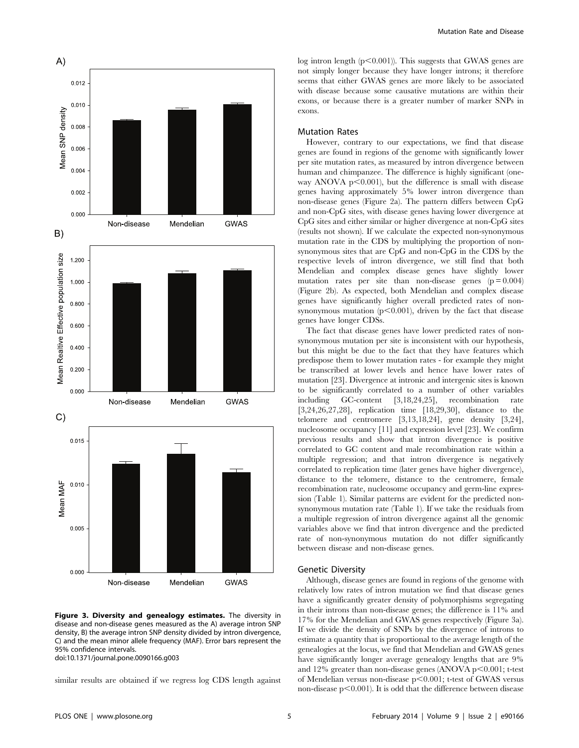

Figure 3. Diversity and genealogy estimates. The diversity in disease and non-disease genes measured as the A) average intron SNP density, B) the average intron SNP density divided by intron divergence, C) and the mean minor allele frequency (MAF). Error bars represent the 95% confidence intervals.

doi:10.1371/journal.pone.0090166.g003

similar results are obtained if we regress log CDS length against

log intron length  $(p<0.001)$ ). This suggests that GWAS genes are not simply longer because they have longer introns; it therefore seems that either GWAS genes are more likely to be associated with disease because some causative mutations are within their exons, or because there is a greater number of marker SNPs in exons.

#### Mutation Rates

However, contrary to our expectations, we find that disease genes are found in regions of the genome with significantly lower per site mutation rates, as measured by intron divergence between human and chimpanzee. The difference is highly significant (oneway ANOVA  $p \leq 0.001$ ), but the difference is small with disease genes having approximately 5% lower intron divergence than non-disease genes (Figure 2a). The pattern differs between CpG and non-CpG sites, with disease genes having lower divergence at CpG sites and either similar or higher divergence at non-CpG sites (results not shown). If we calculate the expected non-synonymous mutation rate in the CDS by multiplying the proportion of nonsynonymous sites that are CpG and non-CpG in the CDS by the respective levels of intron divergence, we still find that both Mendelian and complex disease genes have slightly lower mutation rates per site than non-disease genes  $(p = 0.004)$ (Figure 2b). As expected, both Mendelian and complex disease genes have significantly higher overall predicted rates of nonsynonymous mutation  $(p<0.001)$ , driven by the fact that disease genes have longer CDSs.

The fact that disease genes have lower predicted rates of nonsynonymous mutation per site is inconsistent with our hypothesis, but this might be due to the fact that they have features which predispose them to lower mutation rates - for example they might be transcribed at lower levels and hence have lower rates of mutation [23]. Divergence at intronic and intergenic sites is known to be significantly correlated to a number of other variables including GC-content [3,18,24,25], recombination rate [3,24,26,27,28], replication time [18,29,30], distance to the telomere and centromere [3,13,18,24], gene density [3,24], nucleosome occupancy [11] and expression level [23]. We confirm previous results and show that intron divergence is positive correlated to GC content and male recombination rate within a multiple regression; and that intron divergence is negatively correlated to replication time (later genes have higher divergence), distance to the telomere, distance to the centromere, female recombination rate, nucleosome occupancy and germ-line expression (Table 1). Similar patterns are evident for the predicted nonsynonymous mutation rate (Table 1). If we take the residuals from a multiple regression of intron divergence against all the genomic variables above we find that intron divergence and the predicted rate of non-synonymous mutation do not differ significantly between disease and non-disease genes.

#### Genetic Diversity

Although, disease genes are found in regions of the genome with relatively low rates of intron mutation we find that disease genes have a significantly greater density of polymorphisms segregating in their introns than non-disease genes; the difference is 11% and 17% for the Mendelian and GWAS genes respectively (Figure 3a). If we divide the density of SNPs by the divergence of introns to estimate a quantity that is proportional to the average length of the genealogies at the locus, we find that Mendelian and GWAS genes have significantly longer average genealogy lengths that are 9% and 12% greater than non-disease genes (ANOVA p $<$ 0.001; t-test of Mendelian versus non-disease  $p<0.001$ ; t-test of GWAS versus non-disease  $p<0.001$ ). It is odd that the difference between disease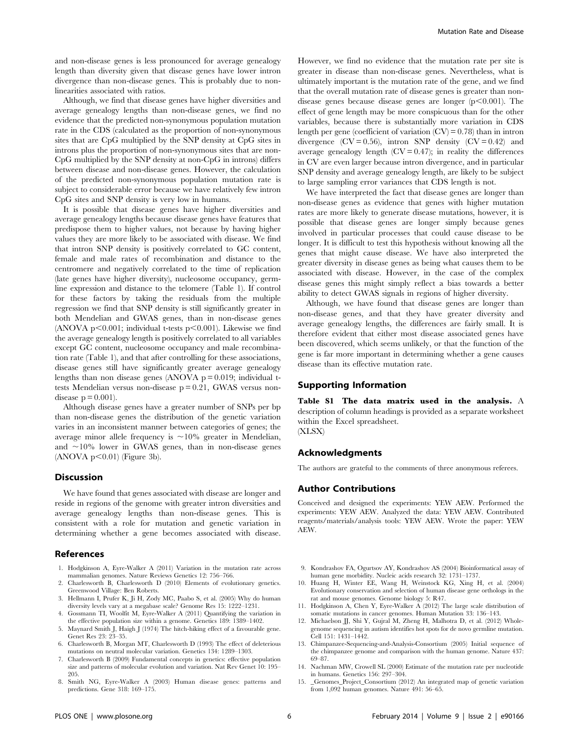and non-disease genes is less pronounced for average genealogy length than diversity given that disease genes have lower intron divergence than non-disease genes. This is probably due to nonlinearities associated with ratios.

Although, we find that disease genes have higher diversities and average genealogy lengths than non-disease genes, we find no evidence that the predicted non-synonymous population mutation rate in the CDS (calculated as the proportion of non-synonymous sites that are CpG multiplied by the SNP density at CpG sites in introns plus the proportion of non-synonymous sites that are non-CpG multiplied by the SNP density at non-CpG in introns) differs between disease and non-disease genes. However, the calculation of the predicted non-synonymous population mutation rate is subject to considerable error because we have relatively few intron CpG sites and SNP density is very low in humans.

It is possible that disease genes have higher diversities and average genealogy lengths because disease genes have features that predispose them to higher values, not because by having higher values they are more likely to be associated with disease. We find that intron SNP density is positively correlated to GC content, female and male rates of recombination and distance to the centromere and negatively correlated to the time of replication (late genes have higher diversity), nucleosome occupancy, germline expression and distance to the telomere (Table 1). If control for these factors by taking the residuals from the multiple regression we find that SNP density is still significantly greater in both Mendelian and GWAS genes, than in non-disease genes (ANOVA p $\leq 0.001$ ; individual t-tests p $\leq 0.001$ ). Likewise we find the average genealogy length is positively correlated to all variables except GC content, nucleosome occupancy and male recombination rate (Table 1), and that after controlling for these associations, disease genes still have significantly greater average genealogy lengths than non disease genes (ANOVA  $p = 0.019$ ; individual ttests Mendelian versus non-disease p = 0.21, GWAS versus nondisease  $p = 0.001$ ).

Although disease genes have a greater number of SNPs per bp than non-disease genes the distribution of the genetic variation varies in an inconsistent manner between categories of genes; the average minor allele frequency is  $\sim$ 10% greater in Mendelian, and  $\sim$ 10% lower in GWAS genes, than in non-disease genes  $(ANOVA p<0.01)$  (Figure 3b).

#### **Discussion**

We have found that genes associated with disease are longer and reside in regions of the genome with greater intron diversities and average genealogy lengths than non-disease genes. This is consistent with a role for mutation and genetic variation in determining whether a gene becomes associated with disease.

#### References

- 1. Hodgkinson A, Eyre-Walker A (2011) Variation in the mutation rate across mammalian genomes. Nature Reviews Genetics 12: 756–766.
- 2. Charlesworth B, Charlesworth D (2010) Elements of evolutionary genetics. Greenwood Village: Ben Roberts.
- 3. Hellmann I, Prufer K, Ji H, Zody MC, Paabo S, et al. (2005) Why do human diversity levels vary at a megabase scale? Genome Res 15: 1222–1231.
- 4. Gossmann TI, Woolfit M, Eyre-Walker A (2011) Quantifying the variation in the effective population size within a genome. Genetics 189: 1389–1402.
- 5. Maynard Smith J, Haigh J (1974) The hitch-hiking effect of a favourable gene. Genet Res 23: 23–35.
- 6. Charlesworth B, Morgan MT, Charlesworth D (1993) The effect of deleterious mutations on neutral molecular variation. Genetics 134: 1289–1303.
- 7. Charlesworth B (2009) Fundamental concepts in genetics: effective population size and patterns of molecular evolution and variation. Nat Rev Genet 10: 195– 205.
- 8. Smith NG, Eyre-Walker A (2003) Human disease genes: patterns and predictions. Gene 318: 169–175.

However, we find no evidence that the mutation rate per site is greater in disease than non-disease genes. Nevertheless, what is ultimately important is the mutation rate of the gene, and we find that the overall mutation rate of disease genes is greater than nondisease genes because disease genes are longer  $(p<0.001)$ . The effect of gene length may be more conspicuous than for the other variables, because there is substantially more variation in CDS length per gene (coefficient of variation  $(CV) = 0.78$ ) than in intron divergence  $(CV = 0.56)$ , intron SNP density  $(CV = 0.42)$  and average genealogy length  $(CV = 0.47)$ ; in reality the differences in CV are even larger because intron divergence, and in particular SNP density and average genealogy length, are likely to be subject to large sampling error variances that CDS length is not.

We have interpreted the fact that disease genes are longer than non-disease genes as evidence that genes with higher mutation rates are more likely to generate disease mutations, however, it is possible that disease genes are longer simply because genes involved in particular processes that could cause disease to be longer. It is difficult to test this hypothesis without knowing all the genes that might cause disease. We have also interpreted the greater diversity in disease genes as being what causes them to be associated with disease. However, in the case of the complex disease genes this might simply reflect a bias towards a better ability to detect GWAS signals in regions of higher diversity.

Although, we have found that disease genes are longer than non-disease genes, and that they have greater diversity and average genealogy lengths, the differences are fairly small. It is therefore evident that either most disease associated genes have been discovered, which seems unlikely, or that the function of the gene is far more important in determining whether a gene causes disease than its effective mutation rate.

#### Supporting Information

Table S1 The data matrix used in the analysis. A description of column headings is provided as a separate worksheet within the Excel spreadsheet. (XLSX)

#### Acknowledgments

The authors are grateful to the comments of three anonymous referees.

#### Author Contributions

Conceived and designed the experiments: YEW AEW. Performed the experiments: YEW AEW. Analyzed the data: YEW AEW. Contributed reagents/materials/analysis tools: YEW AEW. Wrote the paper: YEW AEW.

- 9. Kondrashov FA, Ogurtsov AY, Kondrashov AS (2004) Bioinformatical assay of human gene morbidity. Nucleic acids research 32: 1731–1737.
- 10. Huang H, Winter EE, Wang H, Weinstock KG, Xing H, et al. (2004) Evolutionary conservation and selection of human disease gene orthologs in the rat and mouse genomes. Genome biology 5: R47.
- 11. Hodgkinson A, Chen Y, Eyre-Walker A (2012) The large scale distribution of somatic mutations in cancer genomes. Human Mutation 33: 136–143.
- 12. Michaelson JJ, Shi Y, Gujral M, Zheng H, Malhotra D, et al. (2012) Wholegenome sequencing in autism identifies hot spots for de novo germline mutation. Cell 151: 1431–1442.
- 13. Chimpanzee-Sequencing-and-Analysis-Consortium (2005) Initial sequence of the chimpanzee genome and comparison with the human genome. Nature 437: 69–87.
- 14. Nachman MW, Crowell SL (2000) Estimate of the mutation rate per nucleotide in humans. Genetics 156: 297–304.
- 15. \_Genomes\_Project\_Consortium (2012) An integrated map of genetic variation from 1,092 human genomes. Nature 491: 56–65.